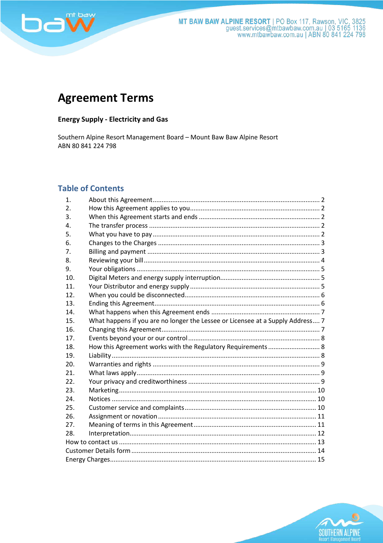

# **Agreement Terms**

## **Energy Supply - Electricity and Gas**

Southern Alpine Resort Management Board - Mount Baw Baw Alpine Resort ABN 80 841 224 798

## **Table of Contents**

| $\mathbf{1}$ . |                                                                                |  |
|----------------|--------------------------------------------------------------------------------|--|
| 2.             |                                                                                |  |
| 3.             |                                                                                |  |
| 4.             |                                                                                |  |
| 5.             |                                                                                |  |
| 6.             |                                                                                |  |
| 7.             |                                                                                |  |
| 8.             |                                                                                |  |
| 9.             |                                                                                |  |
| 10.            |                                                                                |  |
| 11.            |                                                                                |  |
| 12.            |                                                                                |  |
| 13.            |                                                                                |  |
| 14.            |                                                                                |  |
| 15.            | What happens if you are no longer the Lessee or Licensee at a Supply Address 7 |  |
| 16.            |                                                                                |  |
| 17.            |                                                                                |  |
| 18.            | How this Agreement works with the Regulatory Requirements  8                   |  |
| 19.            |                                                                                |  |
| 20.            |                                                                                |  |
| 21.            |                                                                                |  |
| 22.            |                                                                                |  |
| 23.            |                                                                                |  |
| 24.            |                                                                                |  |
| 25.            |                                                                                |  |
| 26.            |                                                                                |  |
| 27.            |                                                                                |  |
| 28.            |                                                                                |  |
|                |                                                                                |  |
|                |                                                                                |  |
|                |                                                                                |  |

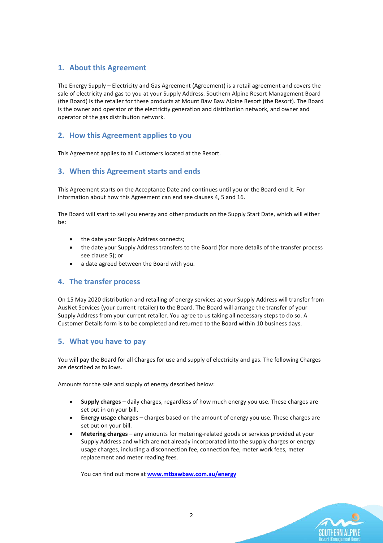## <span id="page-1-0"></span>**1. About this Agreement**

The Energy Supply – Electricity and Gas Agreement (Agreement) is a retail agreement and covers the sale of electricity and gas to you at your Supply Address. Southern Alpine Resort Management Board (the Board) is the retailer for these products at Mount Baw Baw Alpine Resort (the Resort). The Board is the owner and operator of the electricity generation and distribution network, and owner and operator of the gas distribution network.

## <span id="page-1-1"></span>**2. How this Agreement applies to you**

This Agreement applies to all Customers located at the Resort.

## <span id="page-1-2"></span>**3. When this Agreement starts and ends**

This Agreement starts on the Acceptance Date and continues until you or the Board end it. For information about how this Agreement can end see clauses 4, 5 and 16.

The Board will start to sell you energy and other products on the Supply Start Date, which will either be:

- the date your Supply Address connects;
- the date your Supply Address transfers to the Board (for more details of the transfer process see clause 5); or
- a date agreed between the Board with you.

## <span id="page-1-3"></span>**4. The transfer process**

On 15 May 2020 distribution and retailing of energy services at your Supply Address will transfer from AusNet Services (your current retailer) to the Board. The Board will arrange the transfer of your Supply Address from your current retailer. You agree to us taking all necessary steps to do so. A Customer Details form is to be completed and returned to the Board within 10 business days.

## <span id="page-1-4"></span>**5. What you have to pay**

You will pay the Board for all Charges for use and supply of electricity and gas. The following Charges are described as follows.

Amounts for the sale and supply of energy described below:

- **Supply charges**  daily charges, regardless of how much energy you use. These charges are set out in on your bill.
- **Energy usage charges**  charges based on the amount of energy you use. These charges are set out on your bill.
- **Metering charges**  any amounts for metering-related goods or services provided at your Supply Address and which are not already incorporated into the supply charges or energy usage charges, including a disconnection fee, connection fee, meter work fees, meter replacement and meter reading fees.

You can find out more at **[www.mtbawbaw.com.au/energy](http://www.mtbawbaw.com.au/energy)**

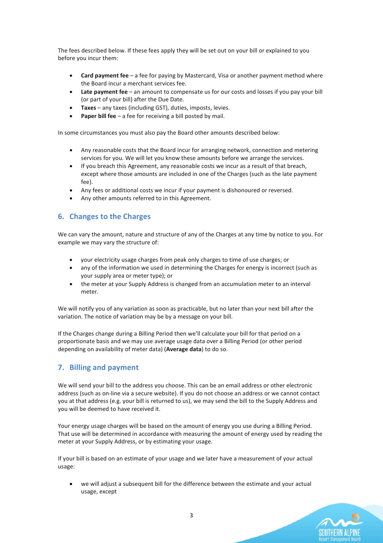The fees described below. If these fees apply they will be set out on your bill or explained to you before you incur them:

- **Card payment fee**  a fee for paying by Mastercard, Visa or another payment method where the Board incur a merchant services fee.
- **Late payment fee** an amount to compensate us for our costs and losses if you pay your bill (or part of your bill) after the Due Date.
- **Taxes**  any taxes (including GST), duties, imposts, levies.
- **Paper bill fee** a fee for receiving a bill posted by mail.

In some circumstances you must also pay the Board other amounts described below:

- Any reasonable costs that the Board incur for arranging network, connection and metering services for you. We will let you know these amounts before we arrange the services.
- If you breach this Agreement, any reasonable costs we incur as a result of that breach, except where those amounts are included in one of the Charges (such as the late payment fee).
- Any fees or additional costs we incur if your payment is dishonoured or reversed.
- Any other amounts referred to in this Agreement.

#### <span id="page-2-0"></span>**6. Changes to the Charges**

We can vary the amount, nature and structure of any of the Charges at any time by notice to you. For example we may vary the structure of:

- your electricity usage charges from peak only charges to time of use charges; or
- any of the information we used in determining the Charges for energy is incorrect (such as your supply area or meter type); or
- the meter at your Supply Address is changed from an accumulation meter to an interval meter.

We will notify you of any variation as soon as practicable, but no later than your next bill after the variation. The notice of variation may be by a message on your bill.

If the Charges change during a Billing Period then we'll calculate your bill for that period on a proportionate basis and we may use average usage data over a Billing Period (or other period depending on availability of meter data) (**Average data**) to do so.

## <span id="page-2-1"></span>**7. Billing and payment**

We will send your bill to the address you choose. This can be an email address or other electronic address (such as on-line via a secure website). If you do not choose an address or we cannot contact you at that address (e.g. your bill is returned to us), we may send the bill to the Supply Address and you will be deemed to have received it.

Your energy usage charges will be based on the amount of energy you use during a Billing Period. That use will be determined in accordance with measuring the amount of energy used by reading the meter at your Supply Address, or by estimating your usage.

If your bill is based on an estimate of your usage and we later have a measurement of your actual usage:

• we will adjust a subsequent bill for the difference between the estimate and your actual usage, except

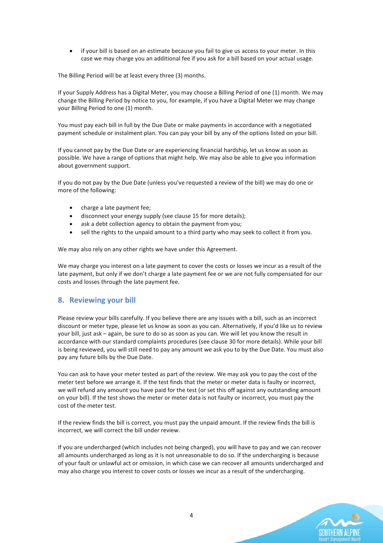• if your bill is based on an estimate because you fail to give us access to your meter. In this case we may charge you an additional fee if you ask for a bill based on your actual usage.

The Billing Period will be at least every three (3) months.

If your Supply Address has a Digital Meter, you may choose a Billing Period of one (1) month. We may change the Billing Period by notice to you, for example, if you have a Digital Meter we may change your Billing Period to one (1) month.

You must pay each bill in full by the Due Date or make payments in accordance with a negotiated payment schedule or instalment plan. You can pay your bill by any of the options listed on your bill.

If you cannot pay by the Due Date or are experiencing financial hardship, let us know as soon as possible. We have a range of options that might help. We may also be able to give you information about government support.

If you do not pay by the Due Date (unless you've requested a review of the bill) we may do one or more of the following:

- charge a late payment fee;
- disconnect your energy supply (see clause 15 for more details);
- ask a debt collection agency to obtain the payment from you;
- sell the rights to the unpaid amount to a third party who may seek to collect it from you.

We may also rely on any other rights we have under this Agreement.

We may charge you interest on a late payment to cover the costs or losses we incur as a result of the late payment, but only if we don't charge a late payment fee or we are not fully compensated for our costs and losses through the late payment fee.

## <span id="page-3-0"></span>**8. Reviewing your bill**

Please review your bills carefully. If you believe there are any issues with a bill, such as an incorrect discount or meter type, please let us know as soon as you can. Alternatively, if you'd like us to review your bill, just ask – again, be sure to do so as soon as you can. We will let you know the result in accordance with our standard complaints procedures (see clause 30 for more details). While your bill is being reviewed, you will still need to pay any amount we ask you to by the Due Date. You must also pay any future bills by the Due Date.

You can ask to have your meter tested as part of the review. We may ask you to pay the cost of the meter test before we arrange it. If the test finds that the meter or meter data is faulty or incorrect, we will refund any amount you have paid for the test (or set this off against any outstanding amount on your bill). If the test shows the meter or meter data is not faulty or incorrect, you must pay the cost of the meter test.

If the review finds the bill is correct, you must pay the unpaid amount. If the review finds the bill is incorrect, we will correct the bill under review.

If you are undercharged (which includes not being charged), you will have to pay and we can recover all amounts undercharged as long as it is not unreasonable to do so. If the undercharging is because of your fault or unlawful act or omission, in which case we can recover all amounts undercharged and may also charge you interest to cover costs or losses we incur as a result of the undercharging.

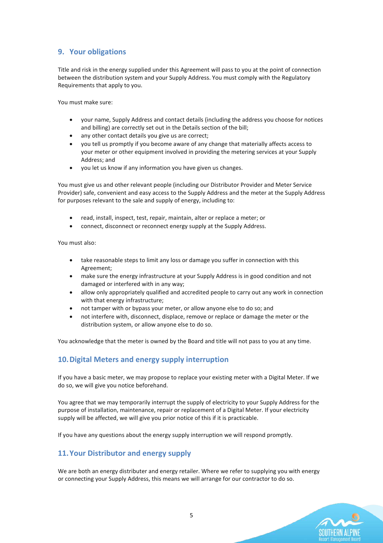## <span id="page-4-0"></span>**9. Your obligations**

Title and risk in the energy supplied under this Agreement will pass to you at the point of connection between the distribution system and your Supply Address. You must comply with the Regulatory Requirements that apply to you.

You must make sure:

- your name, Supply Address and contact details (including the address you choose for notices and billing) are correctly set out in the Details section of the bill;
- any other contact details you give us are correct;
- you tell us promptly if you become aware of any change that materially affects access to your meter or other equipment involved in providing the metering services at your Supply Address; and
- you let us know if any information you have given us changes.

You must give us and other relevant people (including our Distributor Provider and Meter Service Provider) safe, convenient and easy access to the Supply Address and the meter at the Supply Address for purposes relevant to the sale and supply of energy, including to:

- read, install, inspect, test, repair, maintain, alter or replace a meter; or
- connect, disconnect or reconnect energy supply at the Supply Address.

You must also:

- take reasonable steps to limit any loss or damage you suffer in connection with this Agreement;
- make sure the energy infrastructure at your Supply Address is in good condition and not damaged or interfered with in any way;
- allow only appropriately qualified and accredited people to carry out any work in connection with that energy infrastructure;
- not tamper with or bypass your meter, or allow anyone else to do so; and
- not interfere with, disconnect, displace, remove or replace or damage the meter or the distribution system, or allow anyone else to do so.

You acknowledge that the meter is owned by the Board and title will not pass to you at any time.

## <span id="page-4-1"></span>**10.Digital Meters and energy supply interruption**

If you have a basic meter, we may propose to replace your existing meter with a Digital Meter. If we do so, we will give you notice beforehand.

You agree that we may temporarily interrupt the supply of electricity to your Supply Address for the purpose of installation, maintenance, repair or replacement of a Digital Meter. If your electricity supply will be affected, we will give you prior notice of this if it is practicable.

If you have any questions about the energy supply interruption we will respond promptly.

## <span id="page-4-2"></span>**11.Your Distributor and energy supply**

We are both an energy distributer and energy retailer. Where we refer to supplying you with energy or connecting your Supply Address, this means we will arrange for our contractor to do so.

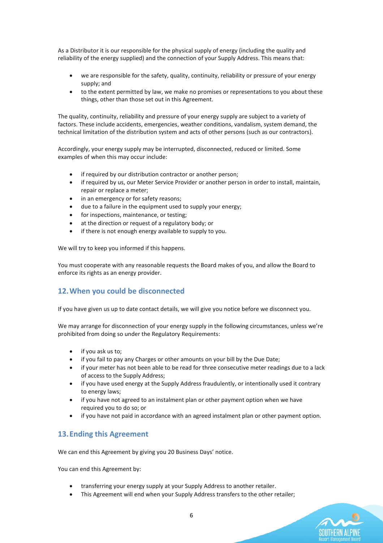As a Distributor it is our responsible for the physical supply of energy (including the quality and reliability of the energy supplied) and the connection of your Supply Address. This means that:

- we are responsible for the safety, quality, continuity, reliability or pressure of your energy supply; and
- to the extent permitted by law, we make no promises or representations to you about these things, other than those set out in this Agreement.

The quality, continuity, reliability and pressure of your energy supply are subject to a variety of factors. These include accidents, emergencies, weather conditions, vandalism, system demand, the technical limitation of the distribution system and acts of other persons (such as our contractors).

Accordingly, your energy supply may be interrupted, disconnected, reduced or limited. Some examples of when this may occur include:

- if required by our distribution contractor or another person;
- if required by us, our Meter Service Provider or another person in order to install, maintain, repair or replace a meter;
- in an emergency or for safety reasons;
- due to a failure in the equipment used to supply your energy;
- for inspections, maintenance, or testing;
- at the direction or request of a regulatory body; or
- if there is not enough energy available to supply to you.

We will try to keep you informed if this happens.

You must cooperate with any reasonable requests the Board makes of you, and allow the Board to enforce its rights as an energy provider.

## <span id="page-5-0"></span>**12.When you could be disconnected**

If you have given us up to date contact details, we will give you notice before we disconnect you.

We may arrange for disconnection of your energy supply in the following circumstances, unless we're prohibited from doing so under the Regulatory Requirements:

- if you ask us to;
- if you fail to pay any Charges or other amounts on your bill by the Due Date;
- if your meter has not been able to be read for three consecutive meter readings due to a lack of access to the Supply Address;
- if you have used energy at the Supply Address fraudulently, or intentionally used it contrary to energy laws;
- if you have not agreed to an instalment plan or other payment option when we have required you to do so; or
- if you have not paid in accordance with an agreed instalment plan or other payment option.

## <span id="page-5-1"></span>**13.Ending this Agreement**

We can end this Agreement by giving you 20 Business Days' notice.

You can end this Agreement by:

- transferring your energy supply at your Supply Address to another retailer.
- This Agreement will end when your Supply Address transfers to the other retailer;

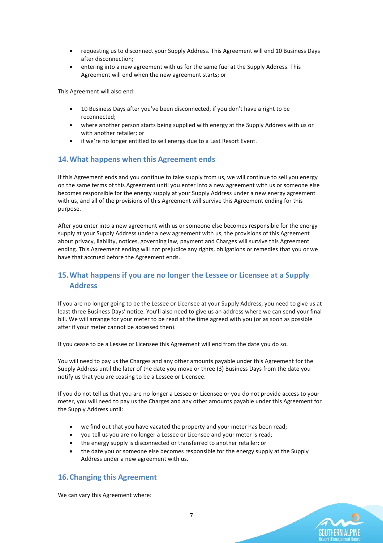- requesting us to disconnect your Supply Address. This Agreement will end 10 Business Days after disconnection;
- entering into a new agreement with us for the same fuel at the Supply Address. This Agreement will end when the new agreement starts; or

This Agreement will also end:

- 10 Business Days after you've been disconnected, if you don't have a right to be reconnected;
- where another person starts being supplied with energy at the Supply Address with us or with another retailer; or
- if we're no longer entitled to sell energy due to a Last Resort Event.

## <span id="page-6-0"></span>**14.What happens when this Agreement ends**

If this Agreement ends and you continue to take supply from us, we will continue to sell you energy on the same terms of this Agreement until you enter into a new agreement with us or someone else becomes responsible for the energy supply at your Supply Address under a new energy agreement with us, and all of the provisions of this Agreement will survive this Agreement ending for this purpose.

After you enter into a new agreement with us or someone else becomes responsible for the energy supply at your Supply Address under a new agreement with us, the provisions of this Agreement about privacy, liability, notices, governing law, payment and Charges will survive this Agreement ending. This Agreement ending will not prejudice any rights, obligations or remedies that you or we have that accrued before the Agreement ends.

## <span id="page-6-1"></span>**15.What happens if you are no longer the Lessee or Licensee at a Supply Address**

If you are no longer going to be the Lessee or Licensee at your Supply Address, you need to give us at least three Business Days' notice. You'll also need to give us an address where we can send your final bill. We will arrange for your meter to be read at the time agreed with you (or as soon as possible after if your meter cannot be accessed then).

If you cease to be a Lessee or Licensee this Agreement will end from the date you do so.

You will need to pay us the Charges and any other amounts payable under this Agreement for the Supply Address until the later of the date you move or three (3) Business Days from the date you notify us that you are ceasing to be a Lessee or Licensee.

If you do not tell us that you are no longer a Lessee or Licensee or you do not provide access to your meter, you will need to pay us the Charges and any other amounts payable under this Agreement for the Supply Address until:

- we find out that you have vacated the property and your meter has been read;
- you tell us you are no longer a Lessee or Licensee and your meter is read;
- the energy supply is disconnected or transferred to another retailer; or
- the date you or someone else becomes responsible for the energy supply at the Supply Address under a new agreement with us.

## <span id="page-6-2"></span>**16.Changing this Agreement**

We can vary this Agreement where:

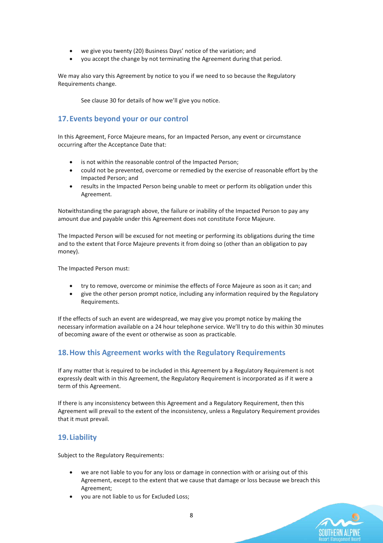- we give you twenty (20) Business Days' notice of the variation; and
- you accept the change by not terminating the Agreement during that period.

We may also vary this Agreement by notice to you if we need to so because the Regulatory Requirements change.

See clause 30 for details of how we'll give you notice.

## <span id="page-7-0"></span>**17.Events beyond your or our control**

In this Agreement, Force Majeure means, for an Impacted Person, any event or circumstance occurring after the Acceptance Date that:

- is not within the reasonable control of the Impacted Person;
- could not be prevented, overcome or remedied by the exercise of reasonable effort by the Impacted Person; and
- results in the Impacted Person being unable to meet or perform its obligation under this Agreement.

Notwithstanding the paragraph above, the failure or inability of the Impacted Person to pay any amount due and payable under this Agreement does not constitute Force Majeure.

The Impacted Person will be excused for not meeting or performing its obligations during the time and to the extent that Force Majeure prevents it from doing so (other than an obligation to pay money).

The Impacted Person must:

- try to remove, overcome or minimise the effects of Force Majeure as soon as it can; and
- give the other person prompt notice, including any information required by the Regulatory Requirements.

If the effects of such an event are widespread, we may give you prompt notice by making the necessary information available on a 24 hour telephone service. We'll try to do this within 30 minutes of becoming aware of the event or otherwise as soon as practicable.

## <span id="page-7-1"></span>**18.How this Agreement works with the Regulatory Requirements**

If any matter that is required to be included in this Agreement by a Regulatory Requirement is not expressly dealt with in this Agreement, the Regulatory Requirement is incorporated as if it were a term of this Agreement.

If there is any inconsistency between this Agreement and a Regulatory Requirement, then this Agreement will prevail to the extent of the inconsistency, unless a Regulatory Requirement provides that it must prevail.

## <span id="page-7-2"></span>**19.Liability**

Subject to the Regulatory Requirements:

- we are not liable to you for any loss or damage in connection with or arising out of this Agreement, except to the extent that we cause that damage or loss because we breach this Agreement;
- you are not liable to us for Excluded Loss;

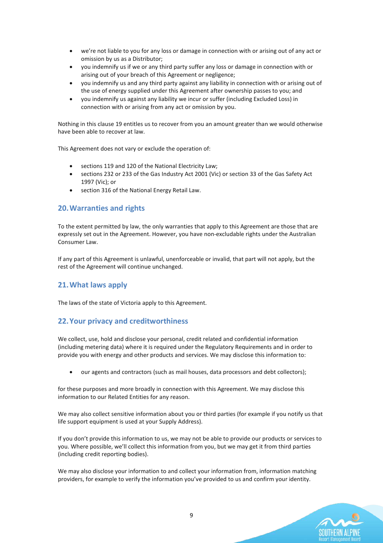- we're not liable to you for any loss or damage in connection with or arising out of any act or omission by us as a Distributor;
- you indemnify us if we or any third party suffer any loss or damage in connection with or arising out of your breach of this Agreement or negligence;
- you indemnify us and any third party against any liability in connection with or arising out of the use of energy supplied under this Agreement after ownership passes to you; and
- you indemnify us against any liability we incur or suffer (including Excluded Loss) in connection with or arising from any act or omission by you.

Nothing in this clause 19 entitles us to recover from you an amount greater than we would otherwise have been able to recover at law.

This Agreement does not vary or exclude the operation of:

- sections 119 and 120 of the National Electricity Law;
- sections 232 or 233 of the Gas Industry Act 2001 (Vic) or section 33 of the Gas Safety Act 1997 (Vic); or
- section 316 of the National Energy Retail Law.

#### <span id="page-8-0"></span>**20.Warranties and rights**

To the extent permitted by law, the only warranties that apply to this Agreement are those that are expressly set out in the Agreement. However, you have non-excludable rights under the Australian Consumer Law.

If any part of this Agreement is unlawful, unenforceable or invalid, that part will not apply, but the rest of the Agreement will continue unchanged.

#### <span id="page-8-1"></span>**21.What laws apply**

The laws of the state of Victoria apply to this Agreement.

#### <span id="page-8-2"></span>**22.Your privacy and creditworthiness**

We collect, use, hold and disclose your personal, credit related and confidential information (including metering data) where it is required under the Regulatory Requirements and in order to provide you with energy and other products and services. We may disclose this information to:

our agents and contractors (such as mail houses, data processors and debt collectors);

for these purposes and more broadly in connection with this Agreement. We may disclose this information to our Related Entities for any reason.

We may also collect sensitive information about you or third parties (for example if you notify us that life support equipment is used at your Supply Address).

If you don't provide this information to us, we may not be able to provide our products or services to you. Where possible, we'll collect this information from you, but we may get it from third parties (including credit reporting bodies).

We may also disclose your information to and collect your information from, information matching providers, for example to verify the information you've provided to us and confirm your identity.

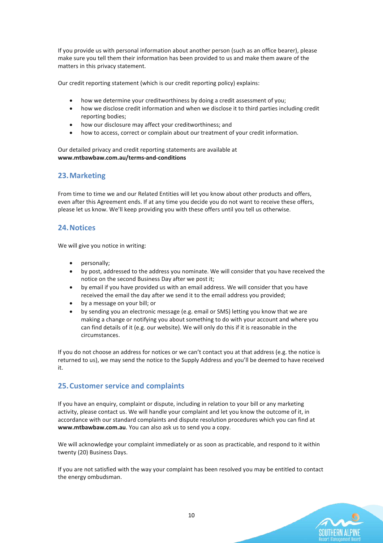If you provide us with personal information about another person (such as an office bearer), please make sure you tell them their information has been provided to us and make them aware of the matters in this privacy statement.

Our credit reporting statement (which is our credit reporting policy) explains:

- how we determine your creditworthiness by doing a credit assessment of you;
- how we disclose credit information and when we disclose it to third parties including credit reporting bodies;
- how our disclosure may affect your creditworthiness; and
- how to access, correct or complain about our treatment of your credit information.

Our detailed privacy and credit reporting statements are available at **www.mtbawbaw.com.au/terms-and-conditions**

## <span id="page-9-0"></span>**23.Marketing**

From time to time we and our Related Entities will let you know about other products and offers, even after this Agreement ends. If at any time you decide you do not want to receive these offers, please let us know. We'll keep providing you with these offers until you tell us otherwise.

#### <span id="page-9-1"></span>**24.Notices**

We will give you notice in writing:

- personally;
- by post, addressed to the address you nominate. We will consider that you have received the notice on the second Business Day after we post it;
- by email if you have provided us with an email address. We will consider that you have received the email the day after we send it to the email address you provided;
- by a message on your bill; or
- by sending you an electronic message (e.g. email or SMS) letting you know that we are making a change or notifying you about something to do with your account and where you can find details of it (e.g. our website). We will only do this if it is reasonable in the circumstances.

If you do not choose an address for notices or we can't contact you at that address (e.g. the notice is returned to us), we may send the notice to the Supply Address and you'll be deemed to have received it.

## <span id="page-9-2"></span>**25.Customer service and complaints**

If you have an enquiry, complaint or dispute, including in relation to your bill or any marketing activity, please contact us. We will handle your complaint and let you know the outcome of it, in accordance with our standard complaints and dispute resolution procedures which you can find at **www.mtbawbaw.com.au**. You can also ask us to send you a copy.

We will acknowledge your complaint immediately or as soon as practicable, and respond to it within twenty (20) Business Days.

If you are not satisfied with the way your complaint has been resolved you may be entitled to contact the energy ombudsman.

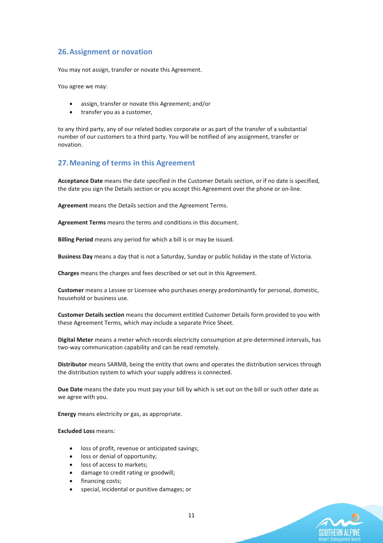## <span id="page-10-0"></span>**26.Assignment or novation**

You may not assign, transfer or novate this Agreement.

You agree we may:

- assign, transfer or novate this Agreement; and/or
- transfer you as a customer,

to any third party, any of our related bodies corporate or as part of the transfer of a substantial number of our customers to a third party. You will be notified of any assignment, transfer or novation.

## <span id="page-10-1"></span>**27.Meaning of terms in this Agreement**

**Acceptance Date** means the date specified in the Customer Details section, or if no date is specified, the date you sign the Details section or you accept this Agreement over the phone or on-line.

**Agreement** means the Details section and the Agreement Terms.

**Agreement Terms** means the terms and conditions in this document.

**Billing Period** means any period for which a bill is or may be issued.

**Business Day** means a day that is not a Saturday, Sunday or public holiday in the state of Victoria.

**Charges** means the charges and fees described or set out in this Agreement.

**Customer** means a Lessee or Licensee who purchases energy predominantly for personal, domestic, household or business use.

**Customer Details section** means the document entitled Customer Details form provided to you with these Agreement Terms, which may include a separate Price Sheet.

**Digital Meter** means a meter which records electricity consumption at pre-determined intervals, has two-way communication capability and can be read remotely.

**Distributor** means SARMB, being the entity that owns and operates the distribution services through the distribution system to which your supply address is connected.

**Due Date** means the date you must pay your bill by which is set out on the bill or such other date as we agree with you.

**Energy** means electricity or gas, as appropriate.

#### **Excluded Loss** means:

- loss of profit, revenue or anticipated savings;
- loss or denial of opportunity;
- loss of access to markets;
- damage to credit rating or goodwill;
- financing costs;
- special, incidental or punitive damages; or

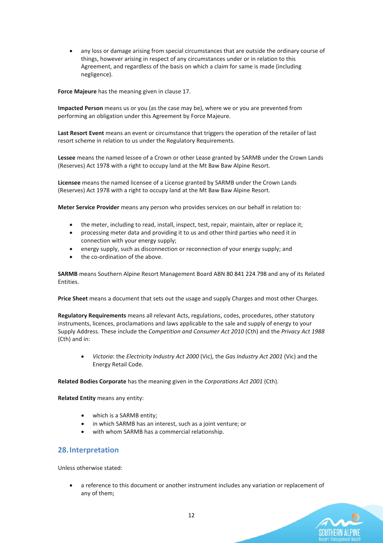any loss or damage arising from special circumstances that are outside the ordinary course of things, however arising in respect of any circumstances under or in relation to this Agreement, and regardless of the basis on which a claim for same is made (including negligence).

**Force Majeure** has the meaning given in clause 17.

**Impacted Person** means us or you (as the case may be), where we or you are prevented from performing an obligation under this Agreement by Force Majeure.

**Last Resort Event** means an event or circumstance that triggers the operation of the retailer of last resort scheme in relation to us under the Regulatory Requirements.

**Lessee** means the named lessee of a Crown or other Lease granted by SARMB under the Crown Lands (Reserves) Act 1978 with a right to occupy land at the Mt Baw Baw Alpine Resort.

**Licensee** means the named licensee of a License granted by SARMB under the Crown Lands (Reserves) Act 1978 with a right to occupy land at the Mt Baw Baw Alpine Resort.

**Meter Service Provider** means any person who provides services on our behalf in relation to:

- the meter, including to read, install, inspect, test, repair, maintain, alter or replace it;
- processing meter data and providing it to us and other third parties who need it in connection with your energy supply;
- energy supply, such as disconnection or reconnection of your energy supply; and
- the co-ordination of the above.

**SARMB** means Southern Alpine Resort Management Board ABN 80 841 224 798 and any of its Related Entities.

**Price Sheet** means a document that sets out the usage and supply Charges and most other Charges.

**Regulatory Requirements** means all relevant Acts, regulations, codes, procedures, other statutory instruments, licences, proclamations and laws applicable to the sale and supply of energy to your Supply Address. These include the *Competition and Consumer Act 2010* (Cth) and the *Privacy Act 1988* (Cth) and in:

• *Victoria*: the *Electricity Industry Act 2000* (Vic), the *Gas Industry Act 2001* (Vic) and the Energy Retail Code.

**Related Bodies Corporate** has the meaning given in the *Corporations Act 2001* (Cth).

**Related Entity** means any entity:

- which is a SARMB entity;
- in which SARMB has an interest, such as a joint venture; or
- with whom SARMB has a commercial relationship.

#### <span id="page-11-0"></span>**28.Interpretation**

Unless otherwise stated:

• a reference to this document or another instrument includes any variation or replacement of any of them;

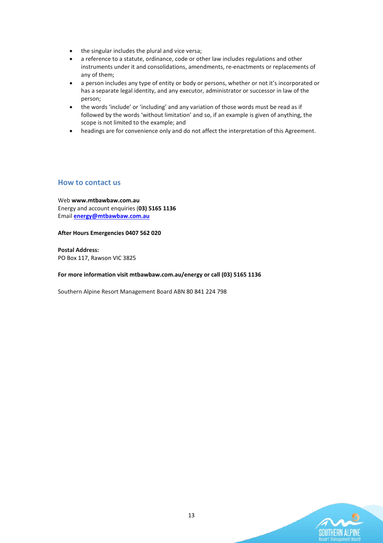- the singular includes the plural and vice versa;
- a reference to a statute, ordinance, code or other law includes regulations and other instruments under it and consolidations, amendments, re-enactments or replacements of any of them;
- a person includes any type of entity or body or persons, whether or not it's incorporated or has a separate legal identity, and any executor, administrator or successor in law of the person;
- the words 'include' or 'including' and any variation of those words must be read as if followed by the words 'without limitation' and so, if an example is given of anything, the scope is not limited to the example; and
- headings are for convenience only and do not affect the interpretation of this Agreement.

#### <span id="page-12-0"></span>**How to contact us**

Web **www.mtbawbaw.com.au** Energy and account enquiries (**03) 5165 1136** Email **[energy@mtbawbaw.com.au](mailto:energy@mtbawbaw.com.au)**

#### **After Hours Emergencies 0407 562 020**

**Postal Address:** PO Box 117, Rawson VIC 3825

#### **For more information visit mtbawbaw.com.au/energy or call (03) 5165 1136**

Southern Alpine Resort Management Board ABN 80 841 224 798

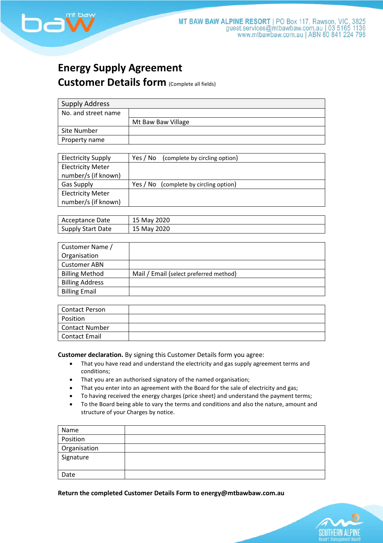

## <span id="page-13-0"></span>**Energy Supply Agreement Customer Details form** (Complete all fields)

## Supply Address No. and street name Mt Baw Baw Village Site Number Property name

| <b>Electricity Supply</b> | Yes / No | (complete by circling option)          |
|---------------------------|----------|----------------------------------------|
| <b>Electricity Meter</b>  |          |                                        |
| number/s (if known)       |          |                                        |
| <b>Gas Supply</b>         |          | Yes / No (complete by circling option) |
| <b>Electricity Meter</b>  |          |                                        |
| number/s (if known)       |          |                                        |

| Acceptance Date   | 15 May 2020 |
|-------------------|-------------|
| Supply Start Date | 15 May 2020 |

| Customer Name /        |                                        |
|------------------------|----------------------------------------|
| Organisation           |                                        |
| <b>Customer ABN</b>    |                                        |
| <b>Billing Method</b>  | Mail / Email (select preferred method) |
| <b>Billing Address</b> |                                        |
| <b>Billing Email</b>   |                                        |

| l Contact Person |  |
|------------------|--|
| Position         |  |
| Contact Number   |  |
| Contact Email    |  |

**Customer declaration.** By signing this Customer Details form you agree:

- That you have read and understand the electricity and gas supply agreement terms and conditions;
- That you are an authorised signatory of the named organisation;
- That you enter into an agreement with the Board for the sale of electricity and gas;
- To having received the energy charges (price sheet) and understand the payment terms;
- To the Board being able to vary the terms and conditions and also the nature, amount and structure of your Charges by notice.

| Name         |  |
|--------------|--|
| Position     |  |
| Organisation |  |
| Signature    |  |
|              |  |
| Date         |  |

**Return the completed Customer Details Form to energy@mtbawbaw.com.au**